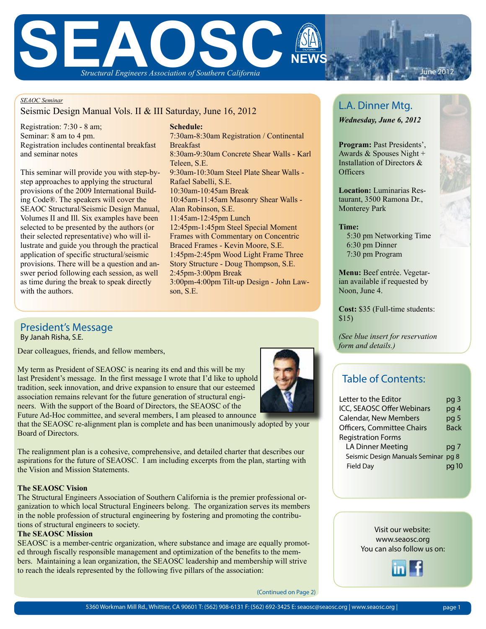

#### *SEAOC Seminar*

## Seismic Design Manual Vols. II & III Saturday, June 16, 2012

Registration: 7:30 - 8 am; Seminar: 8 am to 4 pm. Registration includes continental breakfast and seminar notes

This seminar will provide you with step-bystep approaches to applying the structural provisions of the 2009 International Building Code®. The speakers will cover the SEAOC Structural/Seismic Design Manual, Volumes II and Ill. Six examples have been selected to be presented by the authors (or their selected representative) who will illustrate and guide you through the practical application of specific structural/seismic provisions. There will be a question and answer period following each session, as well as time during the break to speak directly with the authors.

### **Schedule:** 7:30am-8:30am Registration / Continental Breakfast 8:30am-9:30am Concrete Shear Walls - Karl Teleen, S.E. 9:30am-10:30am Steel Plate Shear Walls - Rafael Sabelli, S.E. 10:30am-10:45am Break 10:45am-11:45am Masonry Shear Walls - Alan Robinson, S.E. 11:45am-12:45pm Lunch 12:45pm-1:45pm Steel Special Moment Frames with Commentary on Concentric Braced Frames - Kevin Moore, S.E. 1:45pm-2:45pm Wood Light Frame Three Story Structure - Doug Thompson, S.E. 2:45pm-3:00pm Break 3:00pm-4:00pm Tilt-up Design - John Lawson, S.E.

## By Janah Risha, S.E. President's Message

Dear colleagues, friends, and fellow members,

My term as President of SEAOSC is nearing its end and this will be my last President's message. In the first message I wrote that I'd like to uphold tradition, seek innovation, and drive expansion to ensure that our esteemed association remains relevant for the future generation of structural engineers. With the support of the Board of Directors, the SEAOSC of the

Future Ad-Hoc committee, and several members, I am pleased to announce that the SEAOSC re-alignment plan is complete and has been unanimously adopted by your Board of Directors.

The realignment plan is a cohesive, comprehensive, and detailed charter that describes our aspirations for the future of SEAOSC. I am including excerpts from the plan, starting with the Vision and Mission Statements.

#### **The SEAOSC Vision**

The Structural Engineers Association of Southern California is the premier professional organization to which local Structural Engineers belong. The organization serves its members in the noble profession of structural engineering by fostering and promoting the contributions of structural engineers to society.

#### **The SEAOSC Mission**

SEAOSC is a member-centric organization, where substance and image are equally promoted through fiscally responsible management and optimization of the benefits to the members. Maintaining a lean organization, the SEAOSC leadership and membership will strive to reach the ideals represented by the following five pillars of the association:

# L.A. Dinner Mtg.

*Wednesday, June 6, 2012*

**Program:** Past Presidents', Awards & Spouses Night + Installation of Directors & **Officers** 

**Location:** Luminarias Restaurant, 3500 Ramona Dr., Monterey Park

### **Time:**

 5:30 pm Networking Time 6:30 pm Dinner 7:30 pm Program

**Menu:** Beef entrée. Vegetarian available if requested by Noon, June 4.

**Cost:** \$35 (Full-time students: \$15)

*(See blue insert for reservation form and details.)*

## Table of Contents:

| Letter to the Editor                | pg 3        |
|-------------------------------------|-------------|
| ICC, SEAOSC Offer Webinars          | pg 4        |
| <b>Calendar, New Members</b>        | pg 5        |
| <b>Officers, Committee Chairs</b>   | <b>Back</b> |
| <b>Registration Forms</b>           |             |
| <b>LA Dinner Meeting</b>            | pg 7        |
| Seismic Design Manuals Seminar pg 8 |             |
| <b>Field Day</b>                    |             |

Visit our website: www.seaosc.org You can also follow us on:

(Continued on Page 2)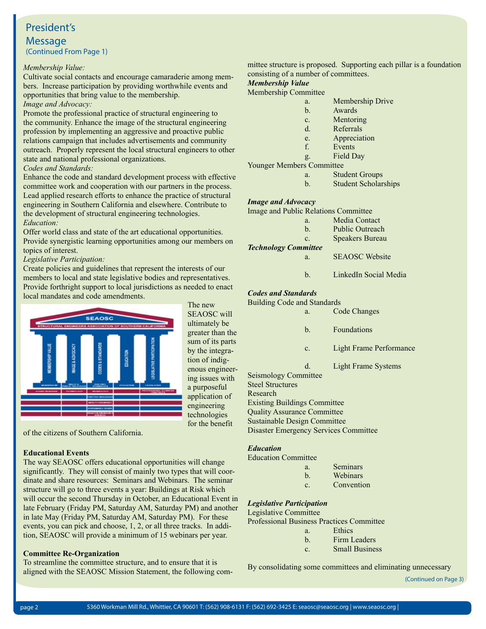## President's

**Message** (Continued From Page 1)

#### *Membership Value:*

Cultivate social contacts and encourage camaraderie among members. Increase participation by providing worthwhile events and opportunities that bring value to the membership.

*Image and Advocacy:* 

Promote the professional practice of structural engineering to the community. Enhance the image of the structural engineering profession by implementing an aggressive and proactive public relations campaign that includes advertisements and community outreach. Properly represent the local structural engineers to other state and national professional organizations.

### *Codes and Standards:*

Enhance the code and standard development process with effective committee work and cooperation with our partners in the process. Lead applied research efforts to enhance the practice of structural engineering in Southern California and elsewhere. Contribute to the development of structural engineering technologies. *Education:*

Offer world class and state of the art educational opportunities. Provide synergistic learning opportunities among our members on topics of interest.

## *Legislative Participation:*

Create policies and guidelines that represent the interests of our members to local and state legislative bodies and representatives. Provide forthright support to local jurisdictions as needed to enact local mandates and code amendments.



The new SEAOSC will ultimately be greater than the sum of its parts by the integration of indigenous engineering issues with a purposeful application of engineering technologies for the benefit

of the citizens of Southern California.

### **Educational Events**

The way SEAOSC offers educational opportunities will change significantly. They will consist of mainly two types that will coordinate and share resources: Seminars and Webinars. The seminar structure will go to three events a year: Buildings at Risk which will occur the second Thursday in October, an Educational Event in late February (Friday PM, Saturday AM, Saturday PM) and another in late May (Friday PM, Saturday AM, Saturday PM). For these events, you can pick and choose, 1, 2, or all three tracks. In addition, SEAOSC will provide a minimum of 15 webinars per year.

### **Committee Re-Organization**

To streamline the committee structure, and to ensure that it is aligned with the SEAOSC Mission Statement, the following committee structure is proposed. Supporting each pillar is a foundation consisting of a number of committees.

## *Membership Value*

Membership Committee

- a. Membership Drive
- b. Awards
- c. Mentoring
- d. Referrals
- e. Appreciation
- f. Events
- g. Field Day

Younger Members Committee

- a. Student Groups
- b. Student Scholarships

## *Image and Advocacy*

| <b>Image and Public Relations Committee</b> |              |                        |
|---------------------------------------------|--------------|------------------------|
|                                             | a.           | Media Contact          |
|                                             | h            | <b>Public Outreach</b> |
|                                             | $\mathbf{c}$ | <b>Speakers Bureau</b> |
| <b>Technology Committee</b>                 |              |                        |
|                                             | a.           | <b>SEAOSC</b> Website  |

b. LinkedIn Social Media

## *Codes and Standards*

| <b>Building Code and Standards</b>  |             |                         |
|-------------------------------------|-------------|-------------------------|
|                                     | a.          | Code Changes            |
|                                     | b.          | Foundations             |
|                                     | c.          | Light Frame Performance |
|                                     | $d_{\cdot}$ | Light Frame Systems     |
| <b>Seismology Committee</b>         |             |                         |
| <b>Steel Structures</b>             |             |                         |
| Research                            |             |                         |
| <b>Existing Buildings Committee</b> |             |                         |
| <b>Quality Assurance Committee</b>  |             |                         |

## *Education*

|  | <b>Education Committee</b> |
|--|----------------------------|
|--|----------------------------|

Sustainable Design Committee

Disaster Emergency Services Committee

- a. Seminars
- b. Webinars
- c. Convention

### *Legislative Participation*

Legislative Committee Professional Business Practices Committee

- a. Ethics
- b. Firm Leaders
- c. Small Business

By consolidating some committees and eliminating unnecessary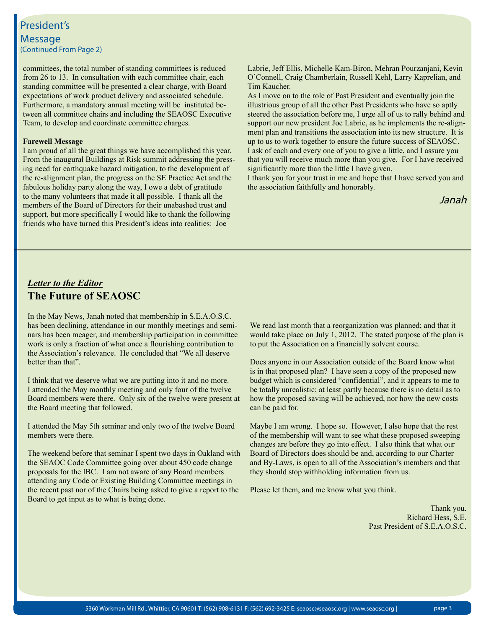## President's **Message** (Continued From Page 2)

committees, the total number of standing committees is reduced from 26 to 13. In consultation with each committee chair, each standing committee will be presented a clear charge, with Board expectations of work product delivery and associated schedule. Furthermore, a mandatory annual meeting will be instituted between all committee chairs and including the SEAOSC Executive Team, to develop and coordinate committee charges.

#### **Farewell Message**

I am proud of all the great things we have accomplished this year. From the inaugural Buildings at Risk summit addressing the pressing need for earthquake hazard mitigation, to the development of the re-alignment plan, the progress on the SE Practice Act and the fabulous holiday party along the way, I owe a debt of gratitude to the many volunteers that made it all possible. I thank all the members of the Board of Directors for their unabashed trust and support, but more specifically I would like to thank the following friends who have turned this President's ideas into realities: Joe

Labrie, Jeff Ellis, Michelle Kam-Biron, Mehran Pourzanjani, Kevin O'Connell, Craig Chamberlain, Russell Kehl, Larry Kaprelian, and Tim Kaucher.

As I move on to the role of Past President and eventually join the illustrious group of all the other Past Presidents who have so aptly steered the association before me, I urge all of us to rally behind and support our new president Joe Labrie, as he implements the re-alignment plan and transitions the association into its new structure. It is up to us to work together to ensure the future success of SEAOSC. I ask of each and every one of you to give a little, and I assure you that you will receive much more than you give. For I have received significantly more than the little I have given.

I thank you for your trust in me and hope that I have served you and the association faithfully and honorably.

Janah

## *Letter to the Editor* **The Future of SEAOSC**

In the May News, Janah noted that membership in S.E.A.O.S.C. has been declining, attendance in our monthly meetings and seminars has been meager, and membership participation in committee work is only a fraction of what once a flourishing contribution to the Association's relevance. He concluded that "We all deserve better than that".

I think that we deserve what we are putting into it and no more. I attended the May monthly meeting and only four of the twelve Board members were there. Only six of the twelve were present at the Board meeting that followed.

I attended the May 5th seminar and only two of the twelve Board members were there.

The weekend before that seminar I spent two days in Oakland with the SEAOC Code Committee going over about 450 code change proposals for the IBC. I am not aware of any Board members attending any Code or Existing Building Committee meetings in the recent past nor of the Chairs being asked to give a report to the Board to get input as to what is being done.

We read last month that a reorganization was planned; and that it would take place on July 1, 2012. The stated purpose of the plan is to put the Association on a financially solvent course.

Does anyone in our Association outside of the Board know what is in that proposed plan? I have seen a copy of the proposed new budget which is considered "confidential", and it appears to me to be totally unrealistic; at least partly because there is no detail as to how the proposed saving will be achieved, nor how the new costs can be paid for.

Maybe I am wrong. I hope so. However, I also hope that the rest of the membership will want to see what these proposed sweeping changes are before they go into effect. I also think that what our Board of Directors does should be and, according to our Charter and By-Laws, is open to all of the Association's members and that they should stop withholding information from us.

Please let them, and me know what you think.

Thank you. Richard Hess, S.E. Past President of S.E.A.O.S.C.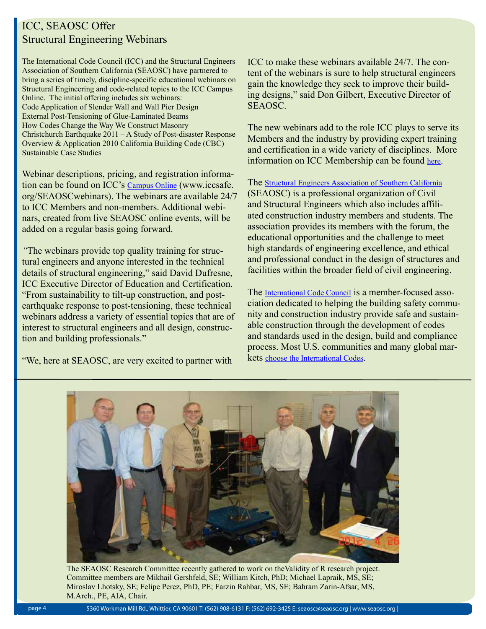## ICC, SEAOSC Offer Structural Engineering Webinars

The International Code Council (ICC) and the Structural Engineers Association of Southern California (SEAOSC) have partnered to bring a series of timely, discipline-specific educational webinars on Structural Engineering and code-related topics to the ICC Campus Online. The initial offering includes six webinars: Code Application of Slender Wall and Wall Pier Design External Post-Tensioning of Glue-Laminated Beams How Codes Change the Way We Construct Masonry Christchurch Earthquake 2011 – A Study of Post-disaster Response Overview & Application 2010 California Building Code (CBC) Sustainable Case Studies

Webinar descriptions, pricing, and registration information can be found on ICC's Campus Online (www.iccsafe. org/SEAOSCwebinars). The webinars are available 24/7 to ICC Members and non-members. Additional webinars, created from live SEAOSC online events, will be added on a regular basis going forward.

*"*The webinars provide top quality training for structural engineers and anyone interested in the technical details of structural engineering," said David Dufresne, ICC Executive Director of Education and Certification. "From sustainability to tilt-up construction, and postearthquake response to post-tensioning, these technical webinars address a variety of essential topics that are of interest to structural engineers and all design, construction and building professionals."

"We, here at SEAOSC, are very excited to partner with

ICC to make these webinars available 24/7. The content of the webinars is sure to help structural engineers gain the knowledge they seek to improve their building designs," said Don Gilbert, Executive Director of SEAOSC.

The new webinars add to the role ICC plays to serve its Members and the industry by providing expert training and certification in a wide variety of disciplines. More information on ICC Membership can be found here.

The Structural Engineers Association of Southern California (SEAOSC) is a professional organization of Civil and Structural Engineers which also includes affiliated construction industry members and students. The association provides its members with the forum, the educational opportunities and the challenge to meet high standards of engineering excellence, and ethical and professional conduct in the design of structures and facilities within the broader field of civil engineering.

The International Code Council is a member-focused association dedicated to helping the building safety community and construction industry provide safe and sustainable construction through the development of codes and standards used in the design, build and compliance process. Most U.S. communities and many global markets choose the International Codes.



The SEAOSC Research Committee recently gathered to work on theValidity of R research project. Committee members are Mikhail Gershfeld, SE; William Kitch, PhD; Michael Lapraik, MS, SE; Miroslav Lhotsky, SE; Felipe Perez, PhD, PE; Farzin Rahbar, MS, SE; Bahram Zarin-Afsar, MS, M.Arch., PE, AIA, Chair.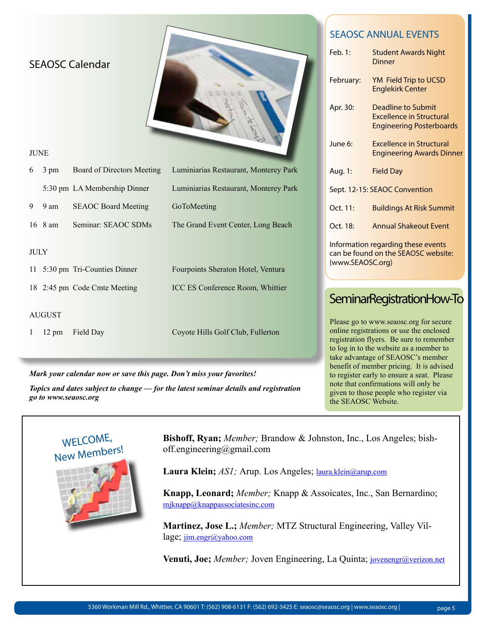| <b>SEAOSC Calendar</b>                           |                                       | Feb. 1:<br>February:<br>Apr. 30: | <b>SEAOSC ANNUAL EVENTS</b><br><b>Student Awards Night</b><br><b>Dinner</b><br>YM Field Trip to UCSD<br><b>Englekirk Center</b><br><b>Deadline to Submit</b><br><b>Excellence in Structural</b><br><b>Engineering Posterboards</b> |
|--------------------------------------------------|---------------------------------------|----------------------------------|------------------------------------------------------------------------------------------------------------------------------------------------------------------------------------------------------------------------------------|
| <b>JUNE</b>                                      |                                       | June 6:                          | <b>Excellence in Structural</b><br><b>Engineering Awards Dinner</b>                                                                                                                                                                |
| <b>Board of Directors Meeting</b><br>3 pm<br>6   | Luminiarias Restaurant, Monterey Park | Aug. 1:                          | <b>Field Day</b>                                                                                                                                                                                                                   |
| 5:30 pm LA Membership Dinner                     | Luminiarias Restaurant, Monterey Park |                                  | Sept. 12-15: SEAOC Convention                                                                                                                                                                                                      |
| <b>SEAOC Board Meeting</b><br>9<br>9 am          | GoToMeeting                           | Oct. 11:                         | <b>Buildings At Risk Summit</b>                                                                                                                                                                                                    |
| Seminar: SEAOC SDMs<br>16 8 am                   | The Grand Event Center, Long Beach    | Oct. 18:                         | <b>Annual Shakeout Event</b>                                                                                                                                                                                                       |
| <b>JULY</b><br>5:30 pm Tri-Counties Dinner<br>11 | Fourpoints Sheraton Hotel, Ventura    | (www.SEAOSC.org)                 | Information regarding these events<br>can be found on the SEAOSC website:                                                                                                                                                          |
| 18 2:45 pm Code Cmte Meeting                     | ICC ES Conference Room, Whittier      |                                  | SeminarRegistrationHow-To                                                                                                                                                                                                          |
| <b>AUGUST</b><br>Field Day<br>12 pm              | Coyote Hills Golf Club, Fullerton     |                                  | Please go to www.seaosc.org for secure<br>online registrations or use the enclosed<br>registration flyers. Be sure to remember<br>to log in to the website as a member to<br>take advantage of SEAOSC's member                     |

*Mark your calendar now or save this page. Don't miss your favorites!*

*Topics and dates subject to change — for the latest seminar details and registration go to www.seaosc.org*

take advantage of SEAOSC's member benefit of member pricing. It is advised to register early to ensure a seat. Please note that confirmations will only be given to those people who register via the SEAOSC Website.



**Bishoff, Ryan;** *Member;* Brandow & Johnston, Inc., Los Angeles; bishoff.engineering@gmail.com

Laura Klein; *AS1*; Arup. Los Angeles; laura.klein@arup.com

**Knapp, Leonard;** *Member;* Knapp & Assoicates, Inc., San Bernardino; mjknapp@knappassociatesinc.com

**Martinez, Jose L.;** *Member;* MTZ Structural Engineering, Valley Village; jim.engr@yahoo.com

**Venuti, Joe;** *Member;* Joven Engineering, La Quinta; jovenengr@verizon.net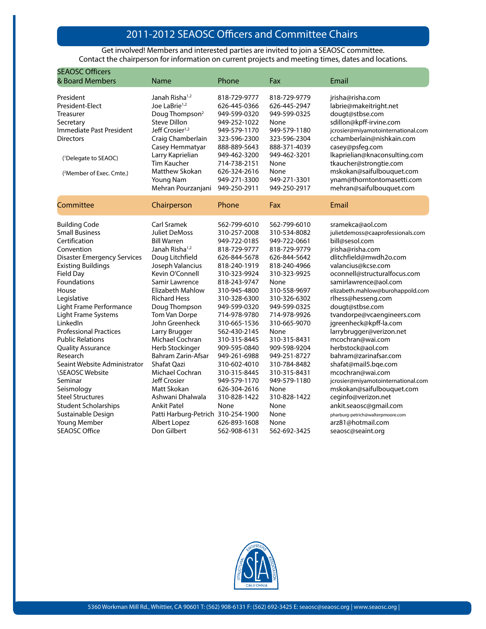## 2010-2011 SEAOSC Officers and Committee Chairs 2011-2012 SEAOSC Officers and Committee Chairs

Get involved! Members and interested parties are invited to join a SEAOSC committee. Contact the chairperson for information on current projects and meeting times, dates and locations.

| <b>SEAOSC Officers</b><br>& Board Members                                                                                                                                                                                                                                                                                                                                                                                                                       | Name                                                                                                                                                                                                                                                                                                                                                                                                             | Phone                                                                                                                                                                                                                                                                                                                                        | Fax                                                                                                                                                                                                                                                                                                                  | Email                                                                                                                                                                                                                                                                                                                                                                                                                                                                                                                                                  |
|-----------------------------------------------------------------------------------------------------------------------------------------------------------------------------------------------------------------------------------------------------------------------------------------------------------------------------------------------------------------------------------------------------------------------------------------------------------------|------------------------------------------------------------------------------------------------------------------------------------------------------------------------------------------------------------------------------------------------------------------------------------------------------------------------------------------------------------------------------------------------------------------|----------------------------------------------------------------------------------------------------------------------------------------------------------------------------------------------------------------------------------------------------------------------------------------------------------------------------------------------|----------------------------------------------------------------------------------------------------------------------------------------------------------------------------------------------------------------------------------------------------------------------------------------------------------------------|--------------------------------------------------------------------------------------------------------------------------------------------------------------------------------------------------------------------------------------------------------------------------------------------------------------------------------------------------------------------------------------------------------------------------------------------------------------------------------------------------------------------------------------------------------|
| President<br>President-Elect<br>Treasurer<br>Secretary<br>Immediate Past President<br><b>Directors</b><br>( <sup>1</sup> Delegate to SEAOC)<br>( <sup>2</sup> Member of Exec. Cmte.)                                                                                                                                                                                                                                                                            | Janah Risha <sup>1,2</sup><br>Joe LaBrie <sup>1,2</sup><br>Doug Thompson <sup>2</sup><br><b>Steve Dillon</b><br>Jeff Crosier <sup>1,2</sup><br>Craig Chamberlain<br>Casey Hemmatyar<br>Larry Kaprielian<br>Tim Kaucher<br>Matthew Skokan<br>Young Nam<br>Mehran Pourzanjani                                                                                                                                      | 818-729-9777<br>626-445-0366<br>949-599-0320<br>949-252-1022<br>949-579-1170<br>323-596-2300<br>888-889-5643<br>949-462-3200<br>714-738-2151<br>626-324-2616<br>949-271-3300<br>949-250-2911                                                                                                                                                 | 818-729-9779<br>626-445-2947<br>949-599-0325<br>None<br>949-579-1180<br>323-596-2304<br>888-371-4039<br>949-462-3201<br>None<br>None<br>949-271-3301<br>949-250-2917                                                                                                                                                 | jrisha@risha.com<br>labrie@makeitright.net<br>dougt@stbse.com<br>sdillon@kpff-irvine.com<br>jcrosier@miyamotointernational.com<br>cchamberlain@nishkain.com<br>casey@psfeg.com<br>lkaprielian@knaconsulting.com<br>tkaucher@strongtie.com<br>mskokan@saifulbouquet.com<br>ynam@thorntontomasetti.com<br>mehran@saifulbouquet.com                                                                                                                                                                                                                       |
| Committee                                                                                                                                                                                                                                                                                                                                                                                                                                                       | Chairperson                                                                                                                                                                                                                                                                                                                                                                                                      | Phone                                                                                                                                                                                                                                                                                                                                        | Fax                                                                                                                                                                                                                                                                                                                  | Email                                                                                                                                                                                                                                                                                                                                                                                                                                                                                                                                                  |
| <b>Building Code</b><br><b>Small Business</b><br>Certification<br>Convention<br><b>Disaster Emergency Services</b><br><b>Existing Buildings</b><br>Field Day<br><b>Foundations</b><br>House<br>Legislative<br>Light Frame Performance<br>Light Frame Systems<br>LinkedIn<br><b>Professional Practices</b><br><b>Public Relations</b><br><b>Quality Assurance</b><br>Research<br>Seaint Website Administrator<br><b>\SEAOSC Website</b><br>Seminar<br>Seismology | Carl Sramek<br>Juliet DeMoss<br><b>Bill Warren</b><br>Janah Risha <sup>1,2</sup><br>Doug Litchfield<br>Joseph Valancius<br>Kevin O'Connell<br>Samir Lawrence<br>Elizabeth Mahlow<br><b>Richard Hess</b><br>Doug Thompson<br>Tom Van Dorpe<br>John Greenheck<br>Larry Brugger<br>Michael Cochran<br>Herb Stockinger<br>Bahram Zarin-Afsar<br>Shafat Oazi<br>Michael Cochran<br><b>Jeff Crosier</b><br>Matt Skokan | 562-799-6010<br>310-257-2008<br>949-722-0185<br>818-729-9777<br>626-844-5678<br>818-240-1919<br>310-323-9924<br>818-243-9747<br>310-945-4800<br>310-328-6300<br>949-599-0320<br>714-978-9780<br>310-665-1536<br>562-430-2145<br>310-315-8445<br>909-595-0840<br>949-261-6988<br>310-602-4010<br>310-315-8445<br>949-579-1170<br>626-304-2616 | 562-799-6010<br>310-534-8082<br>949-722-0661<br>818-729-9779<br>626-844-5642<br>818-240-4966<br>310-323-9925<br>None<br>310-558-9697<br>310-326-6302<br>949-599-0325<br>714-978-9926<br>310-665-9070<br>None<br>310-315-8431<br>909-598-9204<br>949-251-8727<br>310-784-8482<br>310-315-8431<br>949-579-1180<br>None | sramekca@aol.com<br>julietdemoss@caaprofessionals.com<br>bill@sesol.com<br>jrisha@risha.com<br>dlitchfield@mwdh2o.com<br>valancius@kcse.com<br>oconnell@structuralfocus.com<br>samirlawrence@aol.com<br>elizabeth.mahlow@burohappold.com<br>rlhess@hesseng.com<br>dougt@stbse.com<br>tvandorpe@vcaengineers.com<br>jgreenheck@kpff-la.com<br>larrybrugger@verizon.net<br>mcochran@wai.com<br>herbstock@aol.com<br>bahram@zarinafsar.com<br>shafat@mail5.bqe.com<br>mcochran@wai.com<br>jcrosier@miyamotointernational.com<br>mskokan@saifulbouquet.com |
| <b>Steel Structures</b><br><b>Student Scholarships</b><br>Sustainable Design<br>Young Member<br><b>SEAOSC Office</b>                                                                                                                                                                                                                                                                                                                                            | Ashwani Dhalwala<br><b>Ankit Patel</b><br>Patti Harburg-Petrich 310-254-1900<br>Albert Lopez<br>Don Gilbert                                                                                                                                                                                                                                                                                                      | 310-828-1422<br>None<br>626-893-1608<br>562-908-6131                                                                                                                                                                                                                                                                                         | 310-828-1422<br>None<br>None<br>None<br>562-692-3425                                                                                                                                                                                                                                                                 | ceginfo@verizon.net<br>ankit.seaosc@gmail.com<br>pharburg-petrich@walterpmoore.com<br>arz81@hotmail.com<br>seaosc@seaint.org                                                                                                                                                                                                                                                                                                                                                                                                                           |

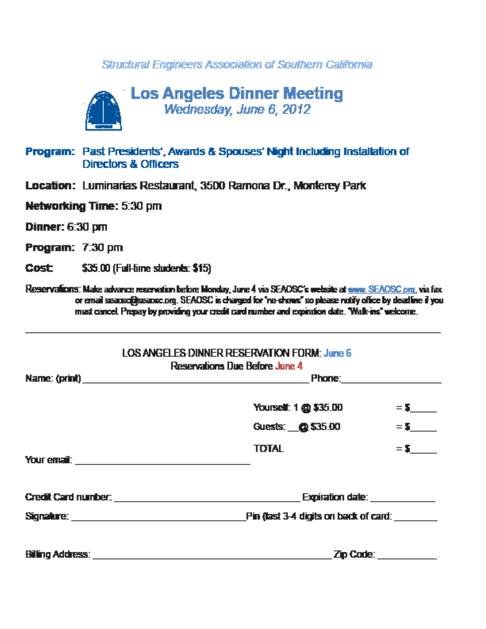## Structural Engineers Association of Southern California



## Program: Past Presidents', Awards & Spouses' Night Including Installation of Directors & Officers

- Location: Luminarias Restaurant, 3500 Ramona Dr., Monterey Park
- Networking Time: 5:30 pm

**Dinner: 6:30 pm** 

Program: 7:30 pm

\$35.00 (Full-time students: \$15) **Cost** 

Reservations: Make advance regevation before Monday, June 4 via SEAOSC's website at www. SEAOSC.org, via fax. or email searscipesance.org. SEAOSC is charged for "no-chows" so please notify office by deadline if you must cancel. Prepay by providing your credit card number and expiration date. "Walk-ins" welcome.

|                                                                                                                                                                                                                                      | <b>LOS ANGELES DINNER RESERVATION FORM: June 6</b><br>Reservations Due Before June 4                                                                                                                                                |                                    |  |  |
|--------------------------------------------------------------------------------------------------------------------------------------------------------------------------------------------------------------------------------------|-------------------------------------------------------------------------------------------------------------------------------------------------------------------------------------------------------------------------------------|------------------------------------|--|--|
|                                                                                                                                                                                                                                      | <b>Phone:</b> Phone: Phone: Phone: Phone: Phone: Phone: Phone: Phone: Phone: Phone: Phone: Phone: Phone: Phone: Phone: Phone: Phone: Phone: Phone: Phone: Phone: Phone: Phone: Phone: Phone: Phone: Phone: Phone: Phone: Phone: Pho |                                    |  |  |
|                                                                                                                                                                                                                                      | Yourself: 1 @ \$35.00                                                                                                                                                                                                               | $= 5$ and $=$                      |  |  |
|                                                                                                                                                                                                                                      | Guests: @\$35.00                                                                                                                                                                                                                    | $= 5$                              |  |  |
| Your email: <u>www.communications and contract and contract and contract and contract and contract and contract of the second second second second second second second second second second second second second second second </u> | <b>TOTAL</b>                                                                                                                                                                                                                        | $=$ 5 $-$                          |  |  |
|                                                                                                                                                                                                                                      |                                                                                                                                                                                                                                     | Expiration date: <b>Expiration</b> |  |  |
| Signalure: <u>__________________________________</u>                                                                                                                                                                                 | <b>Pin (last 3-4 digits on back of card:</b>                                                                                                                                                                                        |                                    |  |  |
| <b>Billing Address:</b>                                                                                                                                                                                                              | Zip Code:                                                                                                                                                                                                                           |                                    |  |  |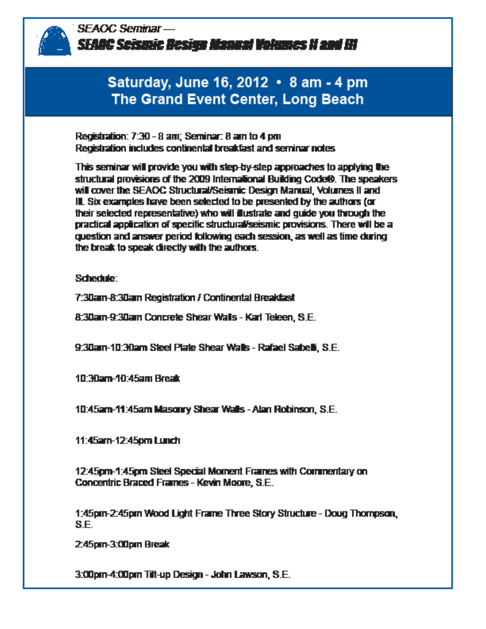

**SEAOC Seminar-**SEAGC Seismic Besign Manual Volumes II and III

# Saturday, June 16, 2012 • 8 am - 4 pm The Grand Event Center, Long Beach

Registration: 7:30 - 8 am: Seminar: 8 am to 4 pm Registration includes continental breakfast and serninar notes

This seminar will provide you with step-by-step approaches to applying the structural provisions of the 2009 International Building Code®. The speakers will cover the SEAOC Structural/Seismic Design Manual, Volumes II and III. Six examples have been selected to be presented by the authors (or their selected representative) who will illustrate and quide you through the practical application of specific structural/seismic provisions. There will be a question and answer period following each session, as well as time during the break to speak directly with the authors.

Schedule:

7:30am-8:30am Registration / Continental Breakfast

8:30am-9:30am Concrete Shear Walls - Karl Teleen, S.E.

9:30am-10:30am Steel Plate Shear Walls - Rafael Sabelli, S.E.

10:30am-10:45am Break

10:45am-11:45am Masonry Shear Walls - Alan Robinson, S.E.

**11:45am-12:45pm Lunch** 

12:45pm-1:45pm Steel Special Moment Frames with Commentary on Concentric Braced Frames - Kevin Moore, S.E.

1:45pm-2:45pm Wood Light Frame Three Story Structure - Doug Thompson, S.E.

2:45pm-3:00pm Break

3:00pm-4:00pm Tilt-up Design - John Lawson, S.E.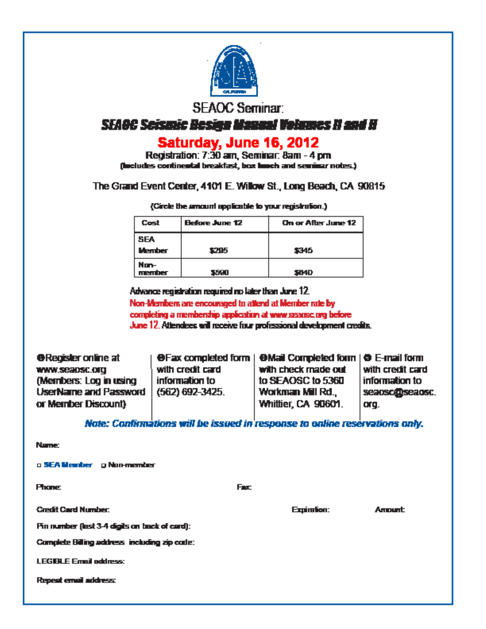

**SEAOC Seminar:** 

## **SFAGG Scismic Resing Magnal Volumes II and H**

# Saturday, June 16, 2012

Registration: 7:30 am. Seminar: 8am - 4 pm. (includes continental breakfast, box limch and seminar notes.)

## The Grand Event Center, 4101 E. Willow St., Long Beach, CA 90815

(Circle the amount applicable to your registration.)

| Cost                        | Before June 12<br>On or After June 12 |       |
|-----------------------------|---------------------------------------|-------|
| <b>SEA</b><br><b>Member</b> | 1215                                  | 5345  |
| Nun-<br>member              | 55.U                                  | \$H4D |

Advance registration required no later than June 12.

Non-Members are encouraged to attend at Member rate by completing a membership application at www.sasansc.org before June 12, Attendees will receive four professional development credits.

**O**Register online at **OFax completed form | OMail Completed form | O E-mail form** WWW.Seabsc.org with credit card with check made out with credit card information to to SEAOSC to 5360 information to (Members: Log in using **UserName and Password**  $(562) 692 - 3425.$ seaoscobseaosc. Workman Mill Rd., Whittier, CA 90601. or Member Discount) ora.

Note: Confirmations will be issued in response to online reservations only.

**Amount** 

**Name:** 

a SEA Member a Non-member

| <b>Phane</b>                                   | Fax: |             |
|------------------------------------------------|------|-------------|
| <b>Credit Card Number:</b>                     |      | Expiresion: |
| Fin number (last 3-4 digits on track of card): |      |             |
| Complete Billing address including zip code:   |      |             |
| <b>LEGIBLE Email address:</b>                  |      |             |
| Repeat email address:                          |      |             |